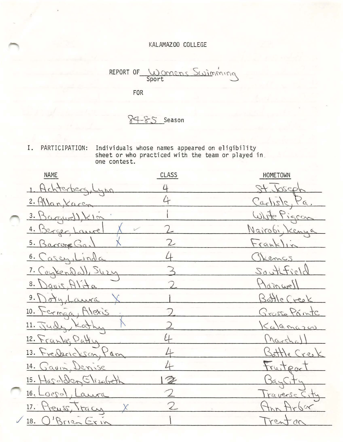## KALAMAZOO COLLEGE

Wannens Swimming REPORT OF

FOR

 $84 - 85$  Season

I. PARTICIPATION: Individuals whose names appeared on eligibility sheet or who practiced with the team or played in .<br>one contest.

| <b>NAME</b>             | CLASS         | HOMETOWN       |
|-------------------------|---------------|----------------|
| 1. Achterberg, Lynn     |               | Stubseph       |
| 2. Markaren             |               | Carlisle, Pa.  |
| $3. \beta$ argur)), KIM |               | White Pigeon   |
| 4. Berger Laurel        |               | Nairobi, Kenya |
| 5. Barrone Ga.          |               | Franklin       |
| 6. Casez, Linda         |               | Chemos         |
| 7. Coykendall, Suzy     |               | Souttield      |
| 8. Davis, Alita         |               | Mainwell       |
| 9. Doty, Laura          |               | Battle Creek   |
| 10. Ferman, Alexis      |               | Grasse Printe  |
| 11. Judy, Kathy         |               | Kalemazon      |
| 12. Franke, Patty       |               | (harsha))      |
| 13. Frederickson, Pam   |               | Battle Creek   |
| 14. Gavin, Denise       |               | Fruitport      |
| 15. Hasden Stizabeth    | $\mathscr{Z}$ | BayCity        |
| 16. Loggol, Laura       |               | Traverse City  |
| 17. Preuss, Tracy       |               | the Arbor      |
| 18. O'Brien Erin        |               | Trenton        |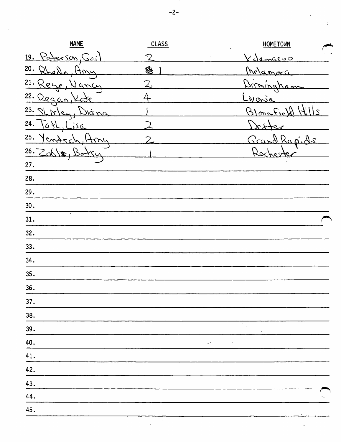**NAME** CLASS **HOMETOWN** 19. Paterson Sos  $\bigcirc$ Vilamazoo 20.  $Q($ 卺 Melamora  $\mathbf{A}$  $\sim$  $\overline{2}$ 21.  $\mathcal{O}$  $4\sigma$  $\sqrt{ }$ n  $22.$  ( 4 <u>lecar</u>  $M_{\rm O}$ 'P  $\mathbf{r}$ 23.  $\mathcal{U}$  $\overline{\phantom{a}}$ Q  $\mathcal{L}$ òк  $\Omega$  $\sim$ 24.  $\overline{2}$  $\overline{\Delta}$ ىَ 25.  $\overline{C}$  $\overline{\mathcal{L}}$  $\widehat{\phantom{a}}$  $\overline{a}$  $26.206$ Roc չ  $\circ$  $27.$ 28. 29.  $30.$  $31.$  $32.$  $33.$  $34.$  $35.$ 36.  $37.$ 38. 39. 40.  $\ddot{\phantom{0}}$  $\mathbb{R}^4$ 41. 42. 43. 44. 45.

 $\ddotsc$ 

 $-2-$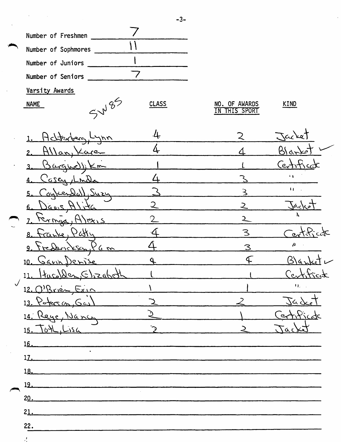

NAME

1. Achter

| $\bm{\mathit{b}}$ . | <b>CLASS</b> |
|---------------------|--------------|
|                     |              |

 $l_{\downarrow}$ 

| NO. OF AWARDS<br>THIS SPORT | KIND   |
|-----------------------------|--------|
|                             | jacket |
|                             | ה ה    |
|                             |        |

4 2.  $A$ lan,  $\angle$ are 3. Bargue)  $\mathbf{L}$  $($ ertiticat  $\overline{\Delta}$  $\ddot{\cdot}$   $\ddot{\cdot}$ Z Case 2nt- $\mathbf{u}$  $\overline{\mathcal{L}}$ Susu 5. Łë  $\overline{2}$  $\overline{2}$  $6.$  $2.4.5$ 7. Fernan, AJEX15  $\overline{2}$  $\overline{2}$  $\Delta$  $\overline{\mathcal{S}}$  $8.$   $frac$   $6.21$  $\alpha$  $\Delta$  $\overline{\mu}$  $\overline{\mathcal{S}}$  $9.$  Tresbrickson,  $96$  m  $\mathcal{L}$  $\mathsf{RA}$ .  $\overline{\mathcal{L}}$  $10.$  Gaun Derise  $11.$  Huco) den  $(5)$ zabeth  $Ce_{\alpha}$ l u.  $12.0$  Rx1èn  $Fix10$  $\overline{\mathcal{M}}$  $13.$  Poters on  $64$  $542$  $\overline{\mathcal{L}}$  $\mathcal{L}$ Ć, 14. Reye, Nancy entica  $\top$ 15. TO4L, Lisa  $\tilde{\mathcal{L}}$  $\geq$  $\alpha r$ 16.  $17.$  $18.$ 19. 20. 21.

-3-

22.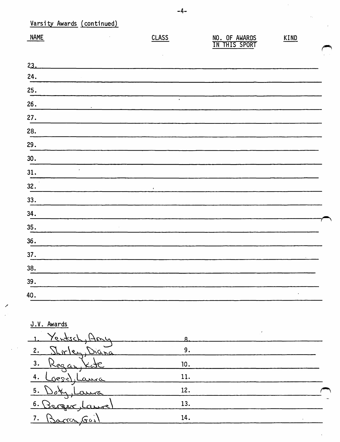| Varsity Awards (continued) |                          |                                |      |  |
|----------------------------|--------------------------|--------------------------------|------|--|
| <b>NAME</b>                | <b>CLASS</b>             | NO. OF AWARDS<br>IN THIS SPORT | KIND |  |
| 23.                        |                          |                                |      |  |
| 24.                        |                          |                                |      |  |
| 25.                        |                          |                                |      |  |
| 26.                        | $\overline{\phantom{a}}$ |                                |      |  |
| 27.                        |                          |                                |      |  |
| 28.                        |                          |                                |      |  |
| 29.                        |                          |                                |      |  |
| 30.                        |                          |                                |      |  |
| $\cdot$<br>31.             |                          |                                |      |  |
| 32.                        | $\mathbf{r}$             |                                |      |  |
| 33.                        |                          |                                |      |  |
| 34.                        |                          |                                |      |  |
| 35.                        |                          |                                |      |  |
| 36.                        |                          |                                |      |  |
| 37.                        |                          |                                |      |  |
| 38.                        |                          |                                |      |  |
| 39.                        |                          |                                |      |  |
| 40.                        |                          |                                |      |  |
|                            |                          |                                |      |  |

J.V. Awards

| 10. |  |
|-----|--|
| 11. |  |
| 12. |  |
| 13. |  |
| 14. |  |
|     |  |

 $-4-$ 

 $\hat{\mathcal{A}}$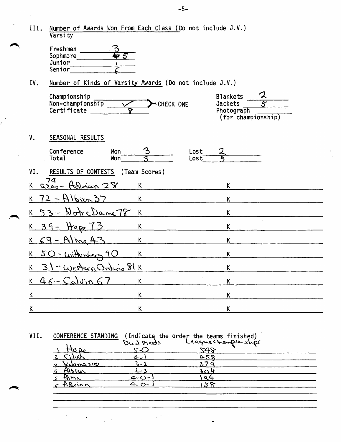| III.            | Number of Awards Won From Each Class (Do not include J.V.)<br>Varsity      |                                     |                                                                |
|-----------------|----------------------------------------------------------------------------|-------------------------------------|----------------------------------------------------------------|
|                 | Freshmen<br>Sophmore<br>运<br>$5^{\circ}$<br>Junior<br>Senior               |                                     |                                                                |
| IV.             | Number of Kinds of Varsity Awards (Do not include J.V.)                    |                                     |                                                                |
|                 | Championship<br>Non-championship<br>Certificate<br>$\overline{\mathbf{v}}$ | CHECK ONE                           | <b>Blankets</b><br>Jackets<br>Photograph<br>(for championship) |
| ٧.              | SEASONAL RESULTS                                                           |                                     |                                                                |
|                 | Conference<br>Won<br>Total<br>Won <sup>-</sup>                             | $\mathfrak{B}$<br>Lost<br>っ<br>Lost |                                                                |
| VI.             | RESULTS OF CONTESTS                                                        | (Team Scores)                       |                                                                |
| K.              | 74<br><u> azoo - Adrian 28</u>                                             | K                                   | K                                                              |
|                 | $72 - Albzen 37$                                                           | $\overline{K}$                      | K                                                              |
|                 | 53 - Notre Dame 78 K                                                       |                                     | Κ                                                              |
|                 | $8.39 - H_{0} = 73$                                                        | K                                   | K                                                              |
| K.              | $69 -$ Alma 43                                                             | K                                   | K                                                              |
| K               | $SO - with$                                                                | K                                   | K                                                              |
| K.              | $31 - Wesheen Ordecia 81K$                                                 |                                     | K                                                              |
|                 | $K46-Calvin67$                                                             | $\mathsf{K}$                        | K                                                              |
| $K_{\parallel}$ |                                                                            | K                                   | K                                                              |
| K.              |                                                                            | K                                   | K                                                              |
|                 |                                                                            |                                     |                                                                |

VII. CONFERENCE STANDING (Indicate the order the teams finished)

|               | Dud meets |                      |  |
|---------------|-----------|----------------------|--|
| HO Re         |           | League Championships |  |
| <u>Colvin</u> |           | 458                  |  |
| Kyamazoo      |           |                      |  |
| Albica        | ? –_י     | 304                  |  |
| Alma          | 4-0-      |                      |  |
| Adrian        | $\zeta$   |                      |  |
|               |           |                      |  |

 $\ddot{ }$ 

t in 19  $\mathcal{L}$  $\cdot$  $\mathbb{R}^{n \times n}$  $\mathbb{Z}$ 

-5-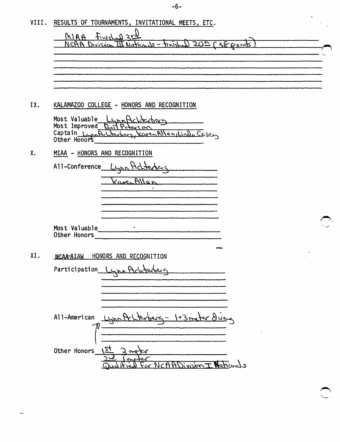-6-

| VIII. | RESULTS OF TOURNAMENTS, INVITATIONAL MEETS, ETC.                                                                                           | منه |
|-------|--------------------------------------------------------------------------------------------------------------------------------------------|-----|
|       | $MAA + WshA 35$<br>150th L38 Bough<br>NCAA Division III Nationals - tinist                                                                 |     |
|       |                                                                                                                                            |     |
|       |                                                                                                                                            |     |
|       |                                                                                                                                            |     |
| IX.   | KALAMAZOO COLLEGE - HONORS AND RECOGNITION                                                                                                 |     |
|       | Most Valuable<br>LynnAch<br>مرحم المحدد<br>Most Improved Bay Peresson<br>Captain Lynpolitecture<br>KarenAllan, Linda Casen<br>Other Honors |     |
| X.    | MIAA - HONORS AND RECOGNITION                                                                                                              |     |
|       | All-Conference                                                                                                                             |     |
|       | KavenAllar                                                                                                                                 |     |
|       |                                                                                                                                            |     |
|       |                                                                                                                                            |     |
|       | Most Valuable<br>Other Honors                                                                                                              |     |
| XI.   | NCAA-AIAW HONORS AND RECOGNITION                                                                                                           |     |
|       | Participation_                                                                                                                             |     |
|       |                                                                                                                                            |     |
|       |                                                                                                                                            |     |
|       | $All-American$ $LMP$                                                                                                                       |     |
|       |                                                                                                                                            |     |
|       | 24<br>Other Honors<br>T                                                                                                                    |     |
|       |                                                                                                                                            |     |

 $\mathbb{R}^2$